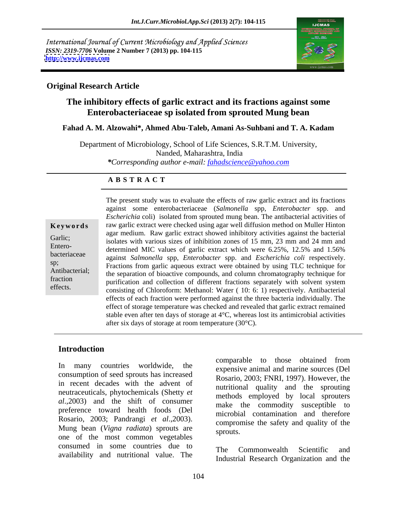International Journal of Current Microbiology and Applied Sciences *ISSN: 2319-7706* **Volume 2 Number 7 (2013) pp. 104-115 <http://www.ijcmas.com>**



### **Original Research Article**

# **The inhibitory effects of garlic extract and its fractions against some Enterobacteriaceae sp isolated from sprouted Mung bean**

### **Fahad A. M. Alzowahi\*, Ahmed Abu-Taleb, Amani As-Suhbani and T. A. Kadam**

Department of Microbiology, School of Life Sciences, S.R.T.M. University, Nanded, Maharashtra, India *\*Corresponding author e-mail: fahadscience@yahoo.com*

### **A B S T R A C T**

Antibacterial; the separation of bioactive compounds, and column chromatography technique for **Ke ywo rds** raw garlic extract were checked using agar well diffusion method on Muller Hinton Garlic;<br>
isolates with various sizes of inhibition zones of 15 mm, 23 mm and 24 mm and Entero-<br>determined MIC values of garlic extract which were 6.25%, 12.5% and 1.56% bacteriaceae against *Salmonella* spp, *Enterobacter* spp. and *Escherichia coli* respectively. sp;<br>
Fractions from garlic aqueous extract were obtained by using TLC technique for fraction purification and collection of different fractions separately with solvent system effects.<br>
consisting of Chloroform: Methanol: Water (10: 6: 1) respectively. Antibacterial The present study was to evaluate the effects of raw garlic extract and its fractions against some enterobacteriaceae (*Salmonella* spp, *Enterobacter* spp. and *Escherichia* coli) isolated from sprouted mung bean. The antibacterial activities of agar medium. Raw garlic extract showed inhibitory activities against the bacterial effects of each fraction were performed against the three bacteria individually. The effect of storage temperature was checked and revealed that garlic extract remained stable even after ten days of storage at 4°C, whereas lost its antimicrobial activities after six days of storage at room temperature (30°C).

### **Introduction**

In many countries worldwide, the expensive animal and marine sources (Del consumption of seed sprouts has increased in recent decades with the advent of neutraceuticals, phytochemicals (Shetty *et al*.,2003) and the shift of consumer preference toward health foods (Del Rosario, 2003; Pandrangi *et al*.,2003). Mung bean (*Vigna radiata*) sprouts are sprouts. one of the most common vegetables consumed in some countries due to The Commonwealth Scientific and availability and nutritional value. The

comparable to those obtained from Rosario, 2003; FNRI, 1997). However, the nutritional quality and the sprouting methods employed by local sprouters make the commodity susceptible to microbial contamination and therefore compromise the safety and quality of the sprouts.

The Commonwealth Scientific and Industrial Research Organization and the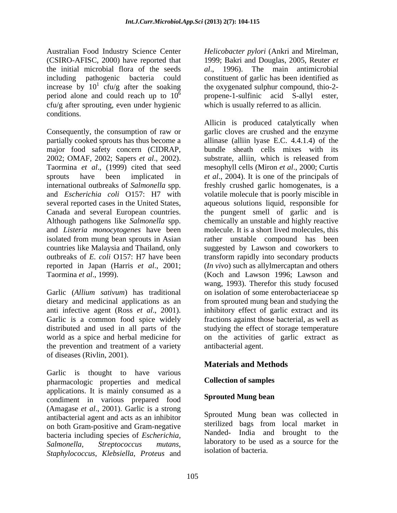Australian Food Industry Science Center (CSIRO-AFISC, 2000) have reported that 1999; Bakri and Douglas, 2005, Reuter *et*  the initial microbial flora of the seeds al., 1996). The main antimicrobial including pathogenic bacteria could constituent of garlic has been identified as increase by  $10^1$  cfu/g after the soaking period alone and could reach up to  $10^6$  propene-1-sulfinic acid S-allyl ester, cfu/g after sprouting, even under hygienic conditions.

Consequently, the consumption of raw or garlic cloves are crushed and the enzyme partially cooked sprouts has thus become a allinase (alliin lyase E.C. 4.4.1.4) of the major food safety concern (CIDRAP, 2002; OMAF, 2002; Sapers *et al*., 2002). Taormina *et al*., (1999) cited that seed mesophyll cells (Miron *et al*., 2000; Curtis sprouts have been implicated in *et al*., 2004). It is one of the principals of international outbreaks of *Salmonella* spp. freshly crushed garlic homogenates, is a and *Escherichia coli* O157: H7 with volatile molecule that is poorly miscible in several reported cases in the United States, aqueous solutions liquid, responsible for Canada and several European countries. Although pathogens like *Salmonella* spp. chemically an unstable and highly reactive and *Listeria monocytogenes* have been isolated from mung bean sprouts in Asian rather unstable compound has been countries like Malaysia and Thailand, only suggested by Lawson and coworkers to outbreaks of *E. coli* O157: H7 have been transform rapidly into secondary products reported in Japan (Harris *et al*., 2001; (*In vivo*) such as allylmercaptan and others Taormina *et al*., 1999). (Koch and Lawson 1996; Lawson and

the prevention and treatment of a variety of diseases (Rivlin, 2001).

Garlic is thought to have various pharmacologic properties and medical applications. It is mainly consumed as a<br>conditions in verious propered food **Sprouted Mung bean** condiment in various prepared food (Amagase *et al*., 2001). Garlic is a strong antibacterial agent and acts as an inhibitor on both Gram-positive and Gram-negative bacteria including species of *Escherichia, Salmonella*, *Streptococcus mutans,* laboratory to be used as a source for the *Staphylococcus*, *Klebsiella*, *Proteus* and

<sup>1</sup> cfu/g after the soaking the oxygenated sulphur compound, thio-2-*Helicobacter pylori* (Ankri and Mirelman, *al*., 1996). The main antimicrobial which is usually referred to as allicin.

Garlic (*Allium sativum*) has traditional on isolation of some enterobacteriaceae sp dietary and medicinal applications as an from sprouted mung bean and studying the anti infective agent (Ross *et al*., 2001). inhibitory effect of garlic extract and its Garlic is a common food spice widely fractions against those bacterial, as well as distributed and used in all parts of the studying the effect of storage temperature world as a spice and herbal medicine for on the activities of garlic extract as Allicin is produced catalytically when bundle sheath cells mixes with its substrate, alliin, which is released from the pungent smell of garlic and is molecule. It is a short lived molecules, this wang, 1993). Therefor this study focused antibacterial agent.

# **Materials and Methods**

### **Collection of samples**

### **Sprouted Mung bean**

Sprouted Mung bean was collected in sterilized bags from local market in Nanded- India and brought to the isolation of bacteria.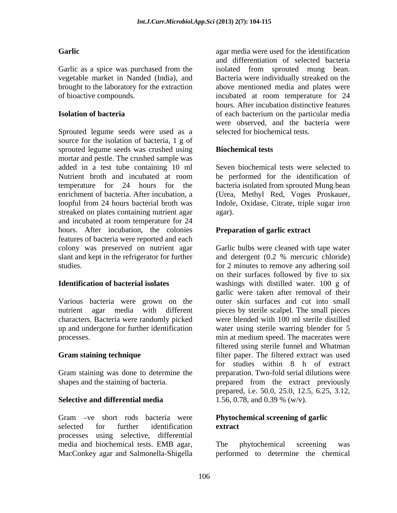Sprouted legume seeds were used as a source for the isolation of bacteria, 1 g of sprouted legume seeds was crushed using mortar and pestle. The crushed sample was added in a test tube containing 10 ml Nutrient broth and incubated at room be performed for the identification of temperature for 24 hours for the bacteria isolated from sprouted Mung bean enrichment of bacteria. After incubation, a (Urea, Methyl Red, Voges Proskauer, loopful from 24 hours bacterial broth was Indole, Oxidase, Citrate, triple sugar iron streaked on plates containing nutrient agar and incubated at room temperature for 24 hours. After incubation, the colonies features of bacteria were reported and each colony was preserved on nutrient agar slant and kept in the refrigerator for further and detergent (0.2 % mercuric chloride) studies. for 2 minutes to remove any adhering soil

Various bacteria were grown on the

Gram staining was done to determine the

### **Selective and differential media**

Gram -ve short rods bacteria were selected for further identification extract processes using selective, differential media and biochemical tests. EMB agar,

**Garlic**  agar media were used for the identification Garlic as a spice was purchased from the isolated from sprouted mung bean. vegetable market in Nanded (India), and Bacteria were individually streaked on the brought to the laboratory for the extraction above mentioned media and plates were of bioactive compounds. incubated at room temperature for 24 **Isolation of bacteria**  of each bacterium on the particular media and differentiation of selected bacteria hours. After incubation distinctive features were observed, and the bacteria were selected for biochemical tests.

### **Biochemical tests**

Seven biochemical tests were selected to be performed for the identification of agar).

### **Preparation of garlic extract**

**Identification of bacterial isolates** washings with distilled water. 100 g of nutrient agar media with different pieces by sterile scalpel. The small pieces characters. Bacteria were randomly picked were blended with 100 ml sterile distilled up and undergone for further identification water using sterile warring blender for 5 processes. min at medium speed. The macerates were **Gram staining technique** filter paper. The filtered extract was used shapes and the staining of bacteria. prepared from the extract previously Garlic bulbs were cleaned with tape water and detergent (0.2 % mercuric chloride) on their surfaces followed by five to six garlic were taken after removal of their outer skin surfaces and cut into small filtered using sterile funnel and Whatman for studies within 8 h of extract preparation. Two-fold serial dilutions were prepared, i.e. 50.0, 25.0, 12.5, 6.25, 3.12, 1.56, 0.78, and 0.39 % (w/v).

### **Phytochemical screening of garlic extract**

MacConkey agar and Salmonella-Shigella performed to determine the chemicalThe phytochemical screening was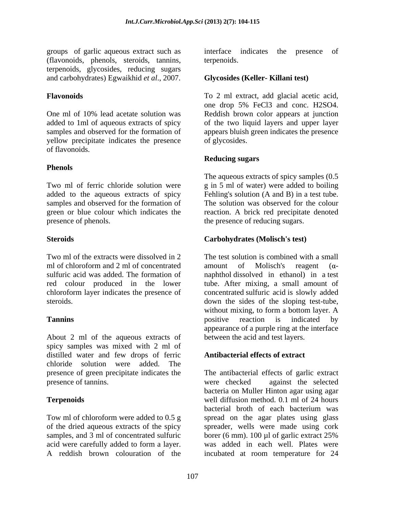groups of garlic aqueous extract such as (flavonoids, phenols, steroids, tannins, terpenoids, glycosides, reducing sugars and carbohydrates) Egwaikhid *et al*., 2007.

yellow precipitate indicates the presence of flavonoids.

### **Phenols**

samples and observed for the formation of green or blue colour which indicates the

red colour produced in the lower

About 2 ml of the aqueous extracts of spicy samples was mixed with 2 ml of distilled water and few drops of ferric chloride solution were added. The presence of green precipitate indicates the presence of tannins. Were checked against the selected

A reddish brown colouration of the incubated at room temperature for 24

interface indicates the terpenoids.

### **Glycosides (Keller- Killani test)**

**Flavonoids** To 2 ml extract, add glacial acetic acid, One ml of 10% lead acetate solution was Reddish brown color appears at junction added to 1ml of aqueous extracts of spicy of the two liquid layers and upper layer samples and observed for the formation of appears bluish green indicates the presence one drop 5% FeCl3 and conc. H2SO4. of glycosides.

### **Reducing sugars**

Two ml of ferric chloride solution were g in 5 ml of water) were added to boiling added to the aqueous extracts of spicy Fehling's solution (A and B) in a test tube. presence of phenols. The presence of reducing sugars. The aqueous extracts of spicy samples (0.5 The solution was observed for the colour reaction. A brick red precipitate denoted

### **Steroids Carbohydrates (Molisch's test)**

Two ml of the extracts were dissolved in 2 The test solution is combined with a small ml of chloroform and 2 ml of concentrated amount of Molisch's reagent  $(\alpha$ sulfuric acid was added. The formation of naphthol dissolved in ethanol) in a test chloroform layer indicates the presence of concentrated sulfuric acid is slowly added steroids. down the sides of the sloping test-tube, **Tannins Tanning Example 1 Propositive Example 1 Propositive Example 1 Propositive Example 1 Propositive Example 1 Propositive Example 1 Propositive Example 1 Propositive Example 1 Proposi** amount of Molisch's reagent  $(\alpha$ tube. After mixing, a small amount of without mixing, to form a bottom layer. A positive reaction is indicated by appearance of a purple ring at the interface between the acid and test layers.

### **Antibacterial effects of extract**

**Terpenoids** well diffusion method. 0.1 ml of 24 hours Tow ml of chloroform were added to 0.5 g spread on the agar plates using glass of the dried aqueous extracts of the spicy spreader, wells were made using cork samples, and 3 ml of concentrated sulfuric borer (6 mm). 100 µl of garlic extract 25% acid were carefully added to form a layer. was added in each well. Plates were The antibacterial effects of garlic extract were checked against the selected bacteria on Muller Hinton agar using agar bacterial broth of each bacterium was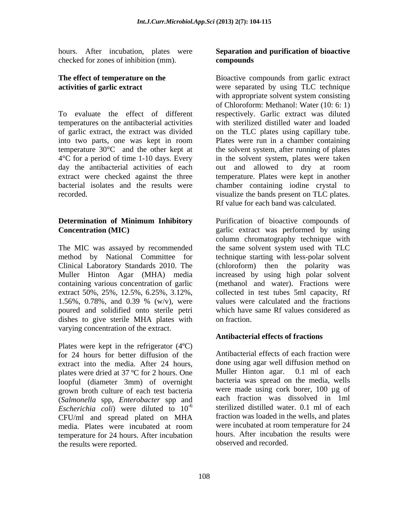hours. After incubation, plates were **Separation and purification of bioactive**  checked for zones of inhibition (mm). compounds

To evaluate the effect of different respectively. Garlic extract was diluted temperatures on the antibacterial activities with sterilized distilled water and loaded of garlic extract, the extract was divided on the TLC plates using capillary tube. into two parts, one was kept in room Plates were run in a chamber containing temperature 30°C and the other kept at the solvent system, after running of plates 4°C for a period of time 1-10 days. Every in the solvent system, plates were taken day the antibacterial activities of each out and allowed to dry at room extract were checked against the three temperature. Plates were kept in another bacterial isolates and the results were chamber containing iodine crystal to

The MIC was assayed by recommended the same solvent system used with TLC poured and solidified onto sterile petri dishes to give sterile MHA plates with on fraction. varying concentration of the extract.

Plates were kept in the refrigerator (4ºC) for 24 hours for better diffusion of the extract into the media. After 24 hours, plates were dried at  $37^{\circ}$ C for 2 hours. One loopful (diameter 3mm) of overnight grown broth culture of each test bacteria (*Salmonella* spp, *Enterobacter* spp and *Escherichia coli*) were diluted to  $10^{-6}$ CFU/ml and spread plated on MHA temperature for 24 hours. After incubation the results were reported.

# **compounds**

**The effect of temperature on the** Bioactive compounds from garlic extract **activities of garlic extract**  were separated by using TLC technique recorded. visualize the bands present on TLC plates. with appropriate solvent system consisting of Chloroform: Methanol: Water (10: 6: 1) Rf value for each band was calculated.

**Determination of Minimum Inhibitory** Purification of bioactive compounds of **Concentration (MIC)** garlic extract was performed by using method by National Committee for technique starting with less-polar solvent Clinical Laboratory Standards 2010. The (chloroform) then the polarity was Muller Hinton Agar (MHA) media increased by using high polar solvent containing various concentration of garlic (methanol and water). Fractions were extract 50%, 25%, 12.5%, 6.25%, 3.12%, collected in test tubes 5ml capacity, Rf 1.56%, 0.78%, and 0.39 % (w/v), were values were calculated and the fractions column chromatography technique with the same solvent system used with TLC values were calculated and the fractions which have same Rf values considered as on fraction.

### **Antibacterial effects of fractions**

-6 sterilized distilled water. 0.1 ml of each media. Plates were incubated at room were incubated at room temperature for 24 Antibacterial effects of each fraction were done using agar well diffusion method on Muller Hinton agar. 0.1 ml of each bacteria was spread on the media, wells were made using cork borer, 100 µg of each fraction was dissolved in 1ml fraction was loaded in the wells, and plates were incubated at room temperature for 24 hours. After incubation the results were observed and recorded.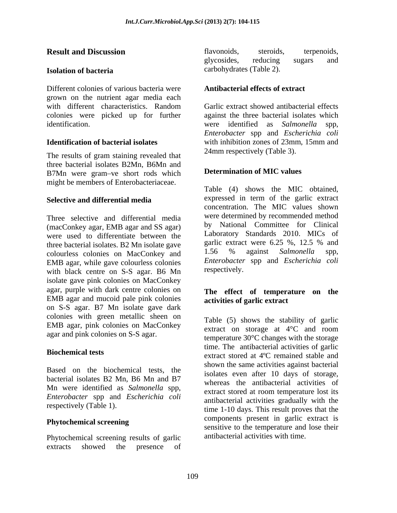#### **Isolation of bacteria**

Different colonies of various bacteria were grown on the nutrient agar media each with different characteristics. Random Garlic extract showed antibacterial effects colonies were picked up for further against the three bacterial isolates which identification. were identified as *Salmonella* spp,

The results of gram staining revealed that three bacterial isolates B2Mn, B6Mn and B7Mn were gram-ve short rods which might be members of Enterobacteriaceae.

#### **Selective and differential media**

Three selective and differential media (macConkey agar, EMB agar and SS agar) were used to differentiate between the Laboratory Standards 2010. MICs of three bacterial isolates B2 Mn isolate gave garlic extract were 6.25 %, 12.5 % and three bacterial isolates. B2 Mn isolate gave garlicextract were 6.25 %, 12.5 % and colourless colonies on MacConkey and 1.56 % against *Salmonella* spp. colourless colonies on MacConkey and EMB agar, while gave colourless colonies<br>with black centre on S-S agar. B6 Mn respectively. with black centre on S-S agar. B6 Mn isolate gave pink colonies on MacConkey agar, purple with dark centre colonies on EMB agar and mucoid pale pink colonies on S-S agar. B7 Mn isolate gave dark colonies with green metallic sheen on EMB agar, pink colonies on MacConkey agar and pink colonies on S-S agar.

Based on the biochemical tests, the bacterial isolates B2 Mn, B6 Mn and B7 Mn were identified as *Salmonella* spp, *Enterobacter* spp and *Escherichia coli*

### **Phytochemical screening**

Phytochemical screening results of garlic extracts showed the presence of

**Result and Discussion Example 3 Example 3 Example 3 Example 3 Example 3 Example 3 Example 3 Example 3 Example 3 Example 3 Example 3 Example 3 Example 3 Example 3 Example 3 Example 3 Examp** flavonoids, steroids, terpenoids, glycosides, reducing sugars and carbohydrates (Table 2).

### **Antibacterial effects of extract**

**Identification of bacterial isolates** with inhibition zones of 23mm, 15mm and Garlic extract showed antibacterial effects *Enterobacter* spp and *Escherichia coli* 24mm respectively (Table 3).

#### **Determination of MIC values**

Table (4) shows the MIC obtained, expressed in term of the garlic extract concentration. The MIC values shown were determined by recommended method by National Committee for Clinical Laboratory Standards 2010. MICs of garlic extract were 6.25 %, 12.5 % and 1.56 % against *Salmonella* spp, *Enterobacter* spp and *Escherichia coli* respectively.

#### **The effect of temperature on the activities of garlic extract**

**Biochemical tests**<br>
extract stored at 4<sup>o</sup>C remained stable and respectively (Table 1). This result proves that the term of the 1-10 days. This result proves that the Table (5) shows the stability of garlic extract on storage at 4°C and room temperature 30°C changes with the storage time. The antibacterial activities of garlic shown the same activities against bacterial isolates even after 10 days of storage, whereas the antibacterial activities of extract stored at room temperature lost its antibacterial activities gradually with the components present in garlic extract is sensitive to the temperature and lose their antibacterial activities with time.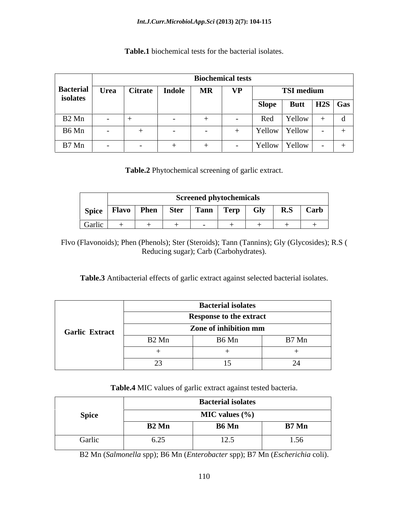|                   |                               |  | <b>Biochemical tests</b> |           |                                       |                   |                  |
|-------------------|-------------------------------|--|--------------------------|-----------|---------------------------------------|-------------------|------------------|
|                   | Bacterial Urea Citrate Indole |  | <b>MR</b>                | <b>VP</b> |                                       | <b>TSI</b> medium |                  |
| isolates          |                               |  |                          |           | <b>Slope</b>                          |                   | Butt   H2S   Gas |
| B <sub>2</sub> Mn |                               |  |                          |           | Red                                   | <b>Yellow</b>     |                  |
| B6 Mn             |                               |  |                          |           | Yellow Yellow                         |                   |                  |
| B7 Mn             |                               |  |                          |           | $\vert$ Yellow $\vert$ Yellow $\vert$ |                   |                  |

**Table.1** biochemical tests for the bacterial isolates.

**Table.2** Phytochemical screening of garlic extract.

|                  |                                   |             |      | Screened phytochemicals |                                       |            |     |      |
|------------------|-----------------------------------|-------------|------|-------------------------|---------------------------------------|------------|-----|------|
| Spice            | TH.<br>$\mathbf{a}$ to<br>- Fiavu | <b>Phen</b> | Ster | Tann                    | <b><i><u>Property</u></i></b><br>Terp | <b>Gly</b> | R.S | Carb |
| $\sim$<br>Garlic |                                   |             |      |                         |                                       |            |     |      |

Flvo (Flavonoids); Phen (Phenols); Ster (Steroids); Tann (Tannins); Gly (Glycosides); R.S ( Reducing sugar); Carb (Carbohydrates).

**Table.3** Antibacterial effects of garlic extract against selected bacterial isolates.

|                       |                   | <b>Bacterial isolates</b>      |       |
|-----------------------|-------------------|--------------------------------|-------|
|                       |                   | <b>Response to the extract</b> |       |
| <b>Garlic Extract</b> |                   | Zone of inhibition mm          |       |
|                       | B <sub>2</sub> Mn | B6 Mn                          | B7 Mn |
|                       |                   |                                |       |
|                       | <u>—</u>          |                                |       |

**Table.4** MIC values of garlic extract against tested bacteria.

|              | <b>Bacterial isolates</b>    |                    |       |  |  |  |  |
|--------------|------------------------------|--------------------|-------|--|--|--|--|
| <b>Spice</b> | <b>MIC</b> values $(\% )$    |                    |       |  |  |  |  |
|              | B <sub>2</sub> Mn            | <b>B6</b> Mn       | B7 Mn |  |  |  |  |
| Garlic       | $\sim$ $\sim$ $\sim$<br>0.25 | $\gamma$ 5<br>14.J | 1.00  |  |  |  |  |

B2 Mn (*Salmonella* spp); B6 Mn (*Enterobacter* spp); B7 Mn (*Escherichia* coli).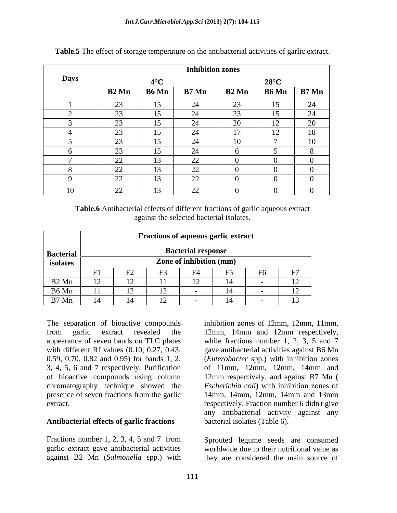|             |                                    |                 | <b>Inhibition zones</b>     |                           |                          |                 |
|-------------|------------------------------------|-----------------|-----------------------------|---------------------------|--------------------------|-----------------|
| <b>Days</b> |                                    | 10 <sup>o</sup> |                             |                           | $28^{\circ}$ C           |                 |
|             | B <sub>2</sub> Mn                  | <b>B6</b> Mn    | B7 Mn                       | <b>B2</b> Mn              |                          | $B6$ Mn $B7$ Mn |
|             | $\sim$                             | 15              |                             | $\cap$<br>$\angle 5$      | 1 <sup>2</sup>           | 24              |
|             | $\sim$<br>ت ک                      | 15              | $\sim$ $\sim$<br>$\sqrt{ }$ | $\sim$                    | $\sim$ $\sim$<br>-15     | 24              |
|             | $\Omega$                           | 15              | –∠—                         | $\Omega$<br>$\sim$        | 12<br>$\perp$            | 20              |
|             | $\Omega$                           | 15              | $\sim$<br>- 44              | $\overline{1}$<br>$\perp$ | $1^{\circ}$<br>$\perp$   | 18              |
|             | $\Omega$<br>ت ک                    | 15              | .<br>- 25                   | $\overline{10}$           | $\overline{\phantom{a}}$ | 10              |
|             | $\Omega$<br>ت ک                    | 15              | - 47                        |                           |                          |                 |
|             | $\Omega$<br>42                     | 13              | 22                          |                           |                          |                 |
|             | $\sim$<br>$\overline{\phantom{a}}$ | 13              | $\Omega$<br>- LL            |                           |                          |                 |
|             | $\cap$<br>$\angle$                 | 13              | $\gamma$<br>$\overline{a}$  |                           |                          |                 |
|             | $\Omega$<br>∠∠                     | 13              | $\Omega$<br>$\angle \angle$ |                           |                          |                 |

**Table.5** The effect of storage temperature on the antibacterial activities of garlic extract.

**Table.6** Antibacterial effects of different fractions of garlic aqueous extract against the selected bacterial isolates.

| <b>Bacterial</b>  | <b>Fractions of aqueous garlic extract</b><br><b>Bacterial response</b> |    |                        |   |  |            |          |  |  |          |
|-------------------|-------------------------------------------------------------------------|----|------------------------|---|--|------------|----------|--|--|----------|
|                   |                                                                         |    |                        |   |  |            |          |  |  | isolates |
|                   | E1<br><b>1</b> T                                                        | mо |                        |   |  | E6<br>T.O. | $\Gamma$ |  |  |          |
| B <sub>2</sub> Mn | $1^{\circ}$<br>$\perp$                                                  |    |                        | ∸ |  |            |          |  |  |          |
| B6 Mn             | 11                                                                      |    | $1^{\circ}$<br>$\perp$ |   |  |            |          |  |  |          |
| B7 Mn             |                                                                         |    | $\overline{1}$         |   |  |            |          |  |  |          |

appearance of seven bands on TLC plates 3, 4, 5, 6 and 7 respectively. Purification of bioactive compounds using column presence of seven fractions from the garlic 14mm, 14mm, 12mm, 14mm and 13mm

### **Antibacterial effects of garlic fractions**

Fractions number 1, 2, 3, 4, 5 and 7 from Sprouted legume seeds are consumed garlic extract gave antibacterial activities<br>against B2 Mn (Salmonella spp.) with

The separation of bioactive compounds inhibition zones of 12mm, 12mm, 11mm, from garlic extract revealed the 12mm, 14mm and 12mm respectively, with different Rf values (0.10, 0.27, 0.43, gave antibacterial activities against B6 Mn 0.59, 0.70, 0.82 and 0.95) for bands 1, 2, (*Enterobacter* spp.) with inhibition zones chromatography technique showed the *Escherichia coli*) with inhibition zones of extract. The contract of the extract extract. while fractions number 1, 2, 3, 5 and 7 of 11mm, 12mm, 12mm, 14mm and 12mm respectively, and against B7 Mn ( 14mm, 14mm, 12mm, 14mm and 13mm any antibacterial activity against any bacterial isolates (Table 6).

against B2 Mn (*Salmonella* spp.) with they are considered the main source ofworldwide due to their nutritional value as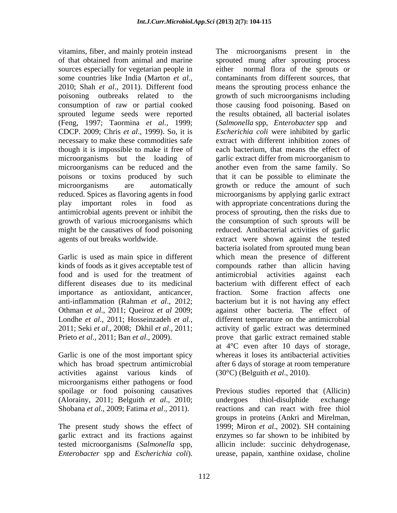vitamins, fiber, and mainly protein instead The microorganisms present in the sprouted legume seeds were reported (Feng, 1997; Taormina *et al.,* 1999; CDCP. 2009; Chris *et al*., 1999). So, it is necessary to make these commodities safe though it is impossible to make it free of poisons or toxins produced by such

food and is used for the treatment of antimicrobial activities against each importance as antioxidant, anticancer,

Garlic is one of the most important spicy activities against various kinds of  $(30^{\circ}C)$  (Belguith *et al.*, 2010). microorganisms either pathogens or food spoilage or food poisoning causatives Previous studies reported that (Allicin) (Alorainy, 2011; Belguith *et al*., 2010; Shobana *et al*., 2009; Fatima *et al*., 2011).

of that obtained from animal and marine sprouted mung after sprouting process sources especially for vegetarian people in either normal flora of the sprouts or some countries like India (Marton *et al.*, contaminants from different sources, that 2010; Shah *et al.*, 2011). Different food means the sprouting process enhance the poisoning outbreaks related to the growth of such microorganisms including consumption of raw or partial cooked those causing food poisoning. Based on microorganisms but the loading of garlic extract differ from microorganism to microorganisms can be reduced and the another even from the same family. So microorganisms are automatically growth or reduce the amount of such reduced. Spices as flavoring agents in food microorganisms by applying garlic extract play important roles in food as with appropriate concentrations during the antimicrobial agents prevent or inhibit the process of sprouting, then the risks due to growth of various microorganisms which the consumption of such sprouts will be might be the causatives of food poisoning reduced. Antibacterial activities of garlic agents of out breaks worldwide. extract were shown against the tested Garlic is used as main spice in different which mean the presence of different kinds of foods as it gives acceptable test of compounds rather than allicin having different diseases due to its medicinal bacterium with different effect of each anti-inflammation (Rahman *et al*., 2012; bacterium but it is not having any effect Othman *et al*., 2011; Queiroz *et al* 2009; against other bacteria. The effect of Londhe *et al.*, 2011; Hosseinzadeh *et al.*, different temperature on the antimicrobial 2011; Seki *et al.*, 2008; Dkhil *et al.*, 2011; activity of garlic extract was determined Prieto *et al.*, 2011; Ban *et al.*, 2009). prove that garlic extract remained stable which has broad spectrum antimicrobial after 6 days of storage at room temperature contaminants from different sources, that means the sprouting process enhance the the results obtained, all bacterial isolates (*Salmonella* spp, *Enterobacter* spp and *Escherichia coli* were inhibited by garlic extract with different inhibition zones of each bacterium, that means the effect of that it can be possible to eliminate the bacteria isolated from sprouted mung bean antimicrobial activities against each fraction. Some fraction affects one different temperature on the antimicrobial activity of garlic extract was determined at 4°C even after 10 days of storage, whereas it loses its antibacterial activities after 6 days of storage at room temperature

The present study shows the effect of 1999; Miron *et al*., 2002). SH containing garlic extract and its fractions against enzymes so far shown to be inhibited by tested microorganisms (*Salmonella* spp, allicin include: succinic dehydrogenase, *Enterobacter* spp and *Escherichia coli*). urease, papain, xanthine oxidase, choline(30°C) (Belguith *et al*., 2010). Previous studies reported that (Allicin) undergoes thiol-disulphide exchange reactions and can react with free thiol groups in proteins (Ankri and Mirelman,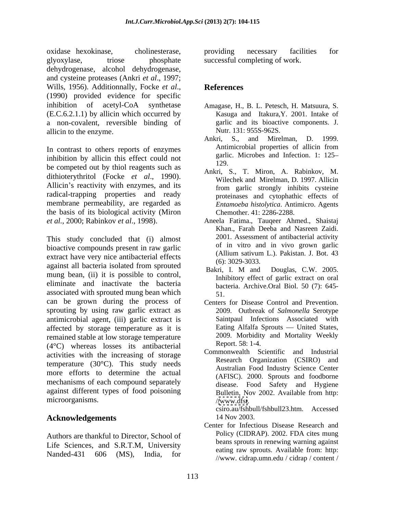oxidase hexokinase, cholinesterase, glyoxylase, triose phosphate successful completing of work. dehydrogenase, alcohol dehydrogenase, and cysteine proteases (Ankri *et al*., 1997; Wills, 1956). Additionnally, Focke *et al*., (1990) provided evidence for specific inhibition of acetyl-CoA synthetase Amagase, H., B. L. Petesch, H. Matsuura, S. (E.C.6.2.1.1) by allicin which occurred by a non-covalent, reversible binding of allicin to the enzyme.<br>
Ankri, S., and Mirelman, D. 1999.

inhibition by allicin this effect could not  $\frac{\text{garit}}{129}$ be competed out by thiol reagents such as dithioterythritol (Focke *et al*., 1990). Allicin's reactivity with enzymes, and its radical-trapping properties and ready membrane permeability, are regarded as the basis of its biological activity (Miron

This study concluded that (i) almost bioactive compounds present in raw garlic bioactive of the vitro and in vivo grown garlic structure of the contract of the contract of the contract of the contract of the contract of the contract of the contract of the con extract have very nice antibacterial effects (Allium sativum)<br>
(6): 3029-3033. against all bacteria isolated from sprouted<br> $R_{\text{a}lri}$  **Let be and Dougles CW** 2005 mung bean, (ii) it is possible to control,<br>mung bean, (ii) it is possible to control,<br>minibitory effect of garlic extract on oral eliminate and inactivate the bacteria associated with sprouted mung bean which  $\overline{51}$ can be grown during the process of Centers for Disease Control and Prevention. sprouting by using raw garlic extract as 2009. Outbreak of Salmonella Serotype antimicrobial agent, (iii) garlic extract is affected by storage temperature as it is remained stable at low storage temperature and the case of the contribution of the contribution of the contribution of the contribution of the contribution of the contribution of the contribution of the contribution of the (4°C) whereas losses its antibacterial activities with the increasing of storage temperature (30°C). This study needs more efforts to determine the actual mechanisms of each compound separately against different types of food poisoning<br>Bulletin, Nov 2002. Available from http: microorganisms. //www.dfst.

### Acknowledgements 14 Nov 2003.

Authors are thankful to Director, School of Life Sciences, and S.R.T.M, University Nanded-431 606 (MS), India, for the cause of the second of the second terms of the second terms of the second terms of the second terms of the second terms of the second terms of the second terms of the second terms of the

providing necessary facilities for

## **References**

- Kasuga and Itakura,Y. 2001. Intake of garlic and its bioactive components. J. Nutr. 131: 955S-962S.
- In contrast to others reports of enzymes Antimicrobial properties of allicin from Ankri, S., and Mirelman, D. 1999. Antimicrobial properties of allicin from garlic. Microbes and Infection. 1: 125 129.
	- Ankri, S., T. Miron, A. Rabinkov, M. Wilechek and Mirelman, D. 1997. Allicin from garlic strongly inhibits cysteine proteinases and cytophathic effects of *Entamoeba histolytica*. Antimicro. Agents Chemother. 41: 2286-2288.
- *et al.,* 2000; Rabinkov *et al*., 1998). Aneela Fatima., Tauqeer Ahmed., Shaistaj Khan., Farah Deeba and Nasreen Zaidi. 2001. Assessment of antibacterial activity of in vitro and in vivo grown garlic (Allium sativum L.). Pakistan. J. Bot. 43 (6): 3029-3033.
	- Bakri, I. <sup>M</sup> and Douglas, C.W. 2005. Inhibitory effect of garlic extract on oral bacteria. Archive.Oral Biol. 50 (7): 645- 51.
	- Centers for Disease Control and Prevention. 2009. Outbreak of *Salmonella* Serotype Saintpaul Infections Associated with Eating Alfalfa Sprouts — United States, 2009. Morbidity and Mortality Weekly Report. 58: 1-4.
	- Commonwealth Scientific and Industrial Research Organization (CSIRO) and Australian Food Industry Science Center (AFISC). 2000. Sprouts and foodborne disease. Food Safety and Hygiene Bulletin, Nov 2002. Available from http: /[/www.dfst](http://www.dfst). csiro.au/fshbull/fshbull23.htm. Accessed
	- 14 Nov 2003. Center for Infectious Disease Research and Policy (CIDRAP). 2002. FDA cites mung beans sprouts in renewing warning against eating raw sprouts. Available from: http: //www. cidrap.umn.edu / cidrap / content /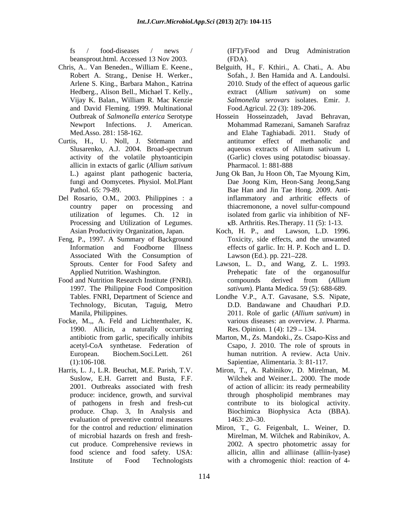beansprout.html. Accessed 13 Nov 2003.

- and David Fleming. 1999. Multinational
- Curtis, H., U. Noll, J. Störmann and
- Del Rosario, O.M., 2003. Philippines : a Processing and Utilization of Legumes.
- Feng, P., 1997. A Summary of Background Associated With the Consumption of
- Food and Nutrition Research Institute (FNRI). compounds derived from (Allium 1997. The Philippine Food Composition Technology, Bicutan, Taguig, Metro
- Focke, M.,, A. Feld and Lichtenthaler, K. 1990. Allicin, a naturally occurring
- Harris, L. J., L.R. Beuchat, M.E. Parish, T.V. evaluation of preventive control measures 1463: 20–30.

fs / food-diseases / news / (IFT)/Food and Drug Administration (FDA).

- Chris, A.. Van Beneden., William E. Keene., Belguith, H., F. Kthiri., A. Chati., A. Abu Robert A. Strang., Denise H. Werker., Sofah., J. Ben Hamida and A. Landoulsi. Arlene S. King., Barbara Mahon., Katrina 2010. Study of the effect of aqueous garlic Hedberg., Alison Bell., Michael T. Kelly., extract (*Allium sativum*) on some Vijay K. Balan., William R. Mac Kenzie Salmonella serovars isolates. Emir. J. *Salmonella serovars* isolates. Emir. J. Food.Agricul. 22 (3): 189-206.
	- Outbreak of *Salmonella enterica* Serotype Hossein Hosseinzadeh, Javad Behravan, Newport Infections. J. American. Mohammad Ramezani, Samaneh Sarafraz Med.Asso. 281: 158-162. and Elahe Taghiabadi. 2011. Study of Slusarenko, A.J. 2004. Broad-spectrum aqueous extracts of Allium sativum L activity of the volatile phytoanticipin (Garlic) cloves using potatodisc bioassay. allicin in extacts of garlic (*Allium sativum*  antitumor effect of methanolic and Pharmacol. 1: 881-888
	- L.) against plant pathogenic bacteria, Jung Ok Ban, Ju Hoon Oh, Tae Myoung Kim, fungi and Oomycetes. Physiol. Mol.Plant Dae Joong Kim, Heon-Sang Jeong,Sang Pathol. 65: 79-89. Bae Han and Jin Tae Hong. 2009. Anticountry paper on processing and thiacremonone, a novel sulfur-compound utilization of legumes. Ch. 12 in isolated from garlic via inhibition of NF inflammatory and arthritic effects of  $\kappa$ B. Arthritis. Res. Therapy. 11 (5): 1-13.
	- Asian Productivity Organization, Japan. Koch, H. P., and Lawson, L.D. 1996.<br>g, P., 1997. A Summary of Background Toxicity, side effects, and the unwanted Information and Foodborne Illness effects of garlic. In: H. P. Koch and L. D. Koch, H. P., and Lawson, L.D. 1996. Toxicity, side effects, and the unwanted Lawson (Ed.). pp. 221–228.
	- Sprouts. Center for Food Safety and Lawson, L. D., and Wang, Z. L. 1993. Applied Nutrition. Washington. The Presential Prehepatic factor of the organosulfur Lawson, L. D., and Wang, Z. L. 1993. Prehepatic fate of the organosulfur compounds derived from (*Allium sativum*). Planta Medica. 59 (5): 688-689.
	- Tables. FNRI, Department of Science and Londhe V.P., A.T. Gavasane, S.S. Nipate, Manila, Philippines. 2011. Role of garlic (*Allium sativum*) in D.D. Bandawane and Chaudhari P.D. various diseases: an overview. J. Pharma. Res. Opinion.  $1(4)$ :  $129 - 134$ .
	- antibiotic from garlic, specifically inhibits Marton, M., Zs. Mandoki., Zs. Csapo-Kiss and acetyl-CoA synthetase. Federation of Csapo, J. 2010. The role of sprouts in European. Biochem.Soci.Lett. 261 (1):106-108. Sapientiae, Alimentaria. 3: 81-117. human nutrition. A review. Acta Univ.
	- Suslow, E.H. Garrett and Busta, F.F. Wilchek and Weiner.L. 2000. The mode 2001. Outbreaks associated with fresh of action of allicin: its ready permeability produce: incidence, growth, and survival through phospholipid membranes may of pathogens in fresh and fresh-cut contribute to its biological activity. produce. Chap. 3, In Analysis and Biochimica Biophysica Acta (BBA). Miron, T., A. Rabinikov, D. Mirelman, M. 1463: 20–30.
	- for the control and reduction/ elimination Miron, T., G. Feigenbalt, L. Weiner, D. of microbial hazards on fresh and fresh- Mirelman, M. Wilchek and Rabinikov, A. cut produce. Comprehensive reviews in 2002. A spectro photometric assay for food science and food safety. USA: allicin, allin and alliinase (alliin-lyase) Institute of Food Technologists with a chromogenic thiol: reaction of 4-